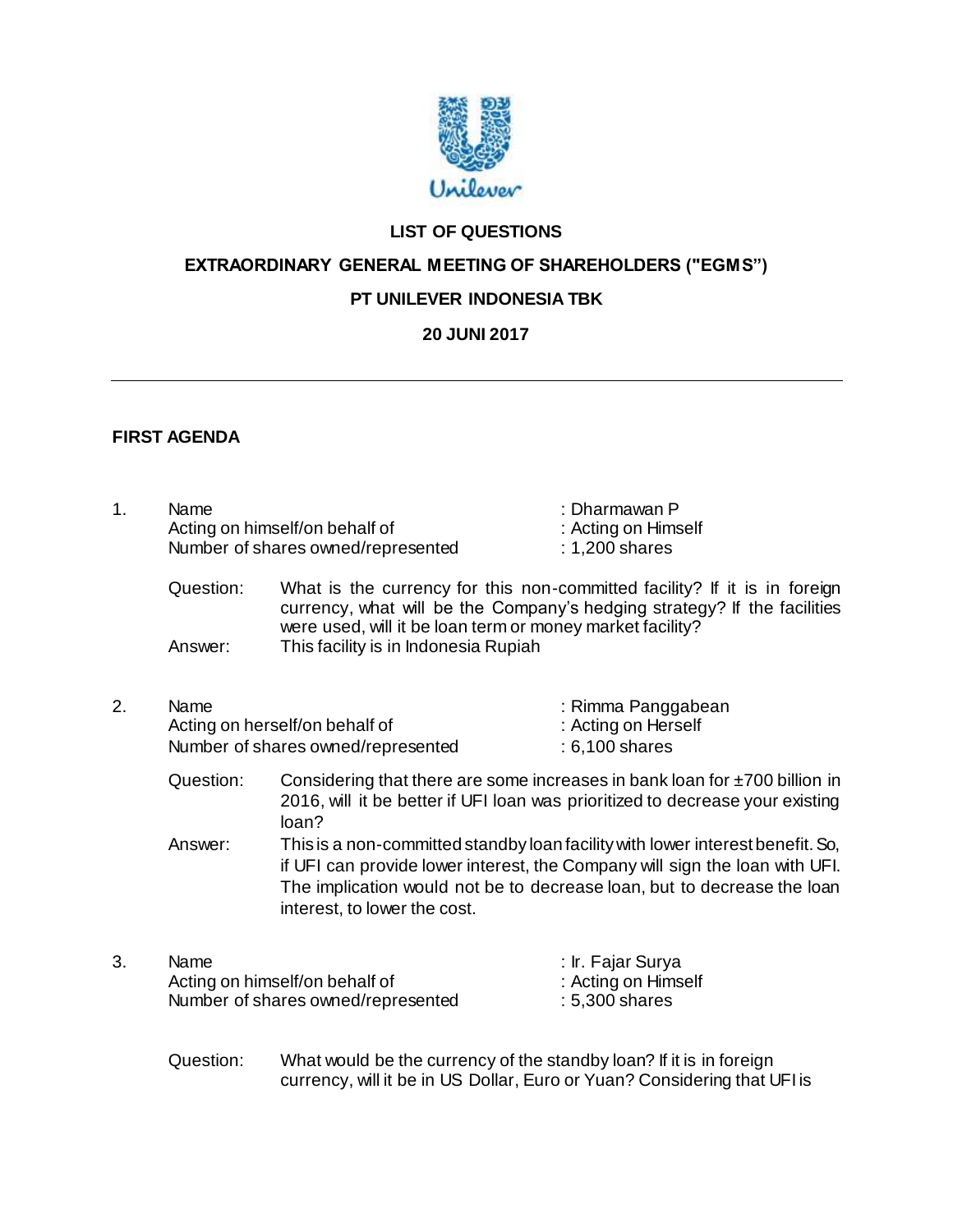

# **LIST OF QUESTIONS**

**EXTRAORDINARY GENERAL MEETING OF SHAREHOLDERS ("EGMS")**

### **PT UNILEVER INDONESIA TBK**

## **20 JUNI 2017**

## **FIRST AGENDA**

| 1. | Name      | Acting on himself/on behalf of<br>Number of shares owned/represented                                                                                                                                                                                                     | : Dharmawan P<br>: Acting on Himself<br>: 1,200 shares      |  |
|----|-----------|--------------------------------------------------------------------------------------------------------------------------------------------------------------------------------------------------------------------------------------------------------------------------|-------------------------------------------------------------|--|
|    | Question: | What is the currency for this non-committed facility? If it is in foreign<br>currency, what will be the Company's hedging strategy? If the facilities<br>were used, will it be loan term or money market facility?                                                       |                                                             |  |
|    | Answer:   | This facility is in Indonesia Rupiah                                                                                                                                                                                                                                     |                                                             |  |
| 2. | Name      | Acting on herself/on behalf of<br>Number of shares owned/represented                                                                                                                                                                                                     | : Rimma Panggabean<br>: Acting on Herself<br>: 6,100 shares |  |
|    | Question: | Considering that there are some increases in bank loan for $\pm 700$ billion in<br>2016, will it be better if UFI loan was prioritized to decrease your existing<br>loan?                                                                                                |                                                             |  |
|    | Answer:   | This is a non-committed standby loan facility with lower interest benefit. So,<br>if UFI can provide lower interest, the Company will sign the loan with UFI.<br>The implication would not be to decrease loan, but to decrease the loan<br>interest, to lower the cost. |                                                             |  |
| 3. | Name      | Acting on himself/on behalf of<br>Number of shares owned/represented                                                                                                                                                                                                     | : Ir. Fajar Surya<br>: Acting on Himself<br>: 5,300 shares  |  |
|    | Question: | What would be the currency of the standby loan? If it is in foreign                                                                                                                                                                                                      |                                                             |  |

currency, will it be in US Dollar, Euro or Yuan? Considering that UFI is